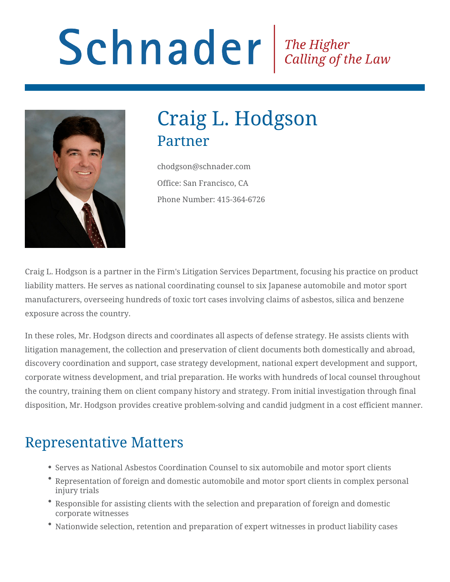# Schnader Fine Higher Calling of the Law



# Craig L. Hodgson Partner

chodgson@schnader.com Office: San Francisco, CA Phone Number: 415-364-6726

Craig L. Hodgson is a partner in the Firm's Litigation Services Department, focusing his practice on product liability matters. He serves as national coordinating counsel to six Japanese automobile and motor sport manufacturers, overseeing hundreds of toxic tort cases involving claims of asbestos, silica and benzene exposure across the country.

In these roles, Mr. Hodgson directs and coordinates all aspects of defense strategy. He assists clients with litigation management, the collection and preservation of client documents both domestically and abroad, discovery coordination and support, case strategy development, national expert development and support, corporate witness development, and trial preparation. He works with hundreds of local counsel throughout the country, training them on client company history and strategy. From initial investigation through final disposition, Mr. Hodgson provides creative problem-solving and candid judgment in a cost efficient manner.

#### Representative Matters

- Serves as National Asbestos Coordination Counsel to six automobile and motor sport clients
- Representation of foreign and domestic automobile and motor sport clients in complex personal injury trials
- Responsible for assisting clients with the selection and preparation of foreign and domestic corporate witnesses
- Nationwide selection, retention and preparation of expert witnesses in product liability cases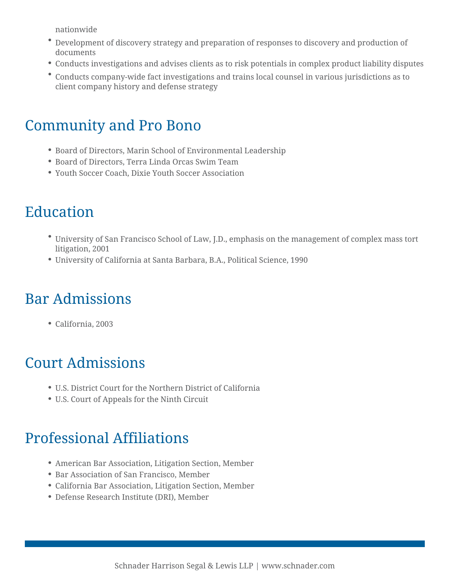nationwide

- Development of discovery strategy and preparation of responses to discovery and production of documents
- Conducts investigations and advises clients as to risk potentials in complex product liability disputes
- Conducts company-wide fact investigations and trains local counsel in various jurisdictions as to client company history and defense strategy

#### Community and Pro Bono

- Board of Directors, Marin School of Environmental Leadership
- Board of Directors, Terra Linda Orcas Swim Team
- Youth Soccer Coach, Dixie Youth Soccer Association

#### Education

- University of San Francisco School of Law, J.D., emphasis on the management of complex mass tort litigation, 2001
- University of California at Santa Barbara, B.A., Political Science, 1990

## Bar Admissions

California, 2003

#### Court Admissions

- U.S. District Court for the Northern District of California
- U.S. Court of Appeals for the Ninth Circuit

# Professional Affiliations

- American Bar Association, Litigation Section, Member
- Bar Association of San Francisco, Member
- California Bar Association, Litigation Section, Member
- Defense Research Institute (DRI), Member